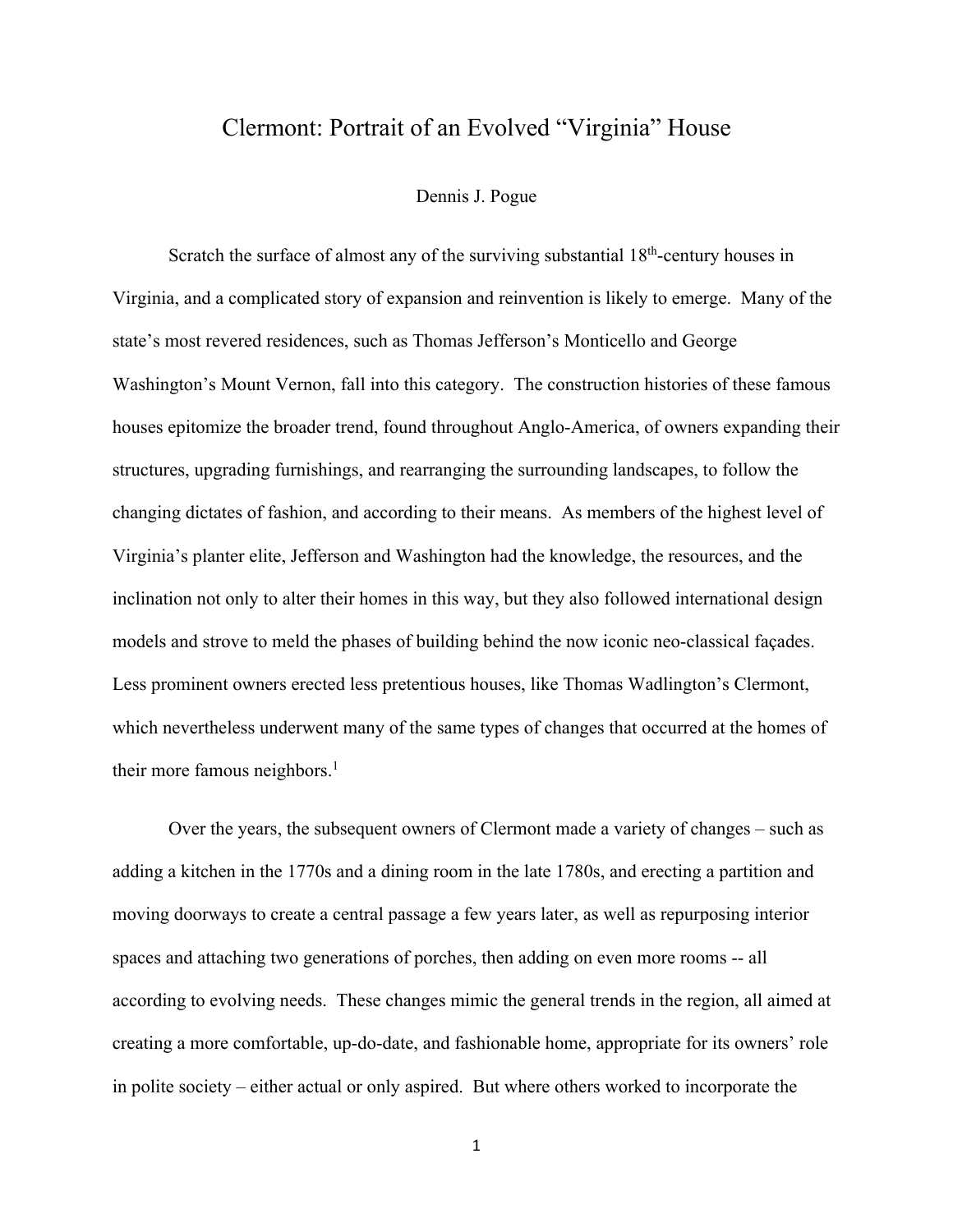## Clermont: Portrait of an Evolved "Virginia" House

## Dennis J. Pogue

Scratch the surface of almost any of the surviving substantial  $18<sup>th</sup>$ -century houses in Virginia, and a complicated story of expansion and reinvention is likely to emerge. Many of the state's most revered residences, such as Thomas Jefferson's Monticello and George Washington's Mount Vernon, fall into this category. The construction histories of these famous houses epitomize the broader trend, found throughout Anglo-America, of owners expanding their structures, upgrading furnishings, and rearranging the surrounding landscapes, to follow the changing dictates of fashion, and according to their means. As members of the highest level of Virginia's planter elite, Jefferson and Washington had the knowledge, the resources, and the inclination not only to alter their homes in this way, but they also followed international design models and strove to meld the phases of building behind the now iconic neo-classical façades. Less prominent owners erected less pretentious houses, like Thomas Wadlington's Clermont, which nevertheless underwent many of the same types of changes that occurred at the homes of their more famous neighbors.<sup>1</sup>

Over the years, the subsequent owners of Clermont made a variety of changes – such as adding a kitchen in the 1770s and a dining room in the late 1780s, and erecting a partition and moving doorways to create a central passage a few years later, as well as repurposing interior spaces and attaching two generations of porches, then adding on even more rooms -- all according to evolving needs. These changes mimic the general trends in the region, all aimed at creating a more comfortable, up-do-date, and fashionable home, appropriate for its owners' role in polite society – either actual or only aspired. But where others worked to incorporate the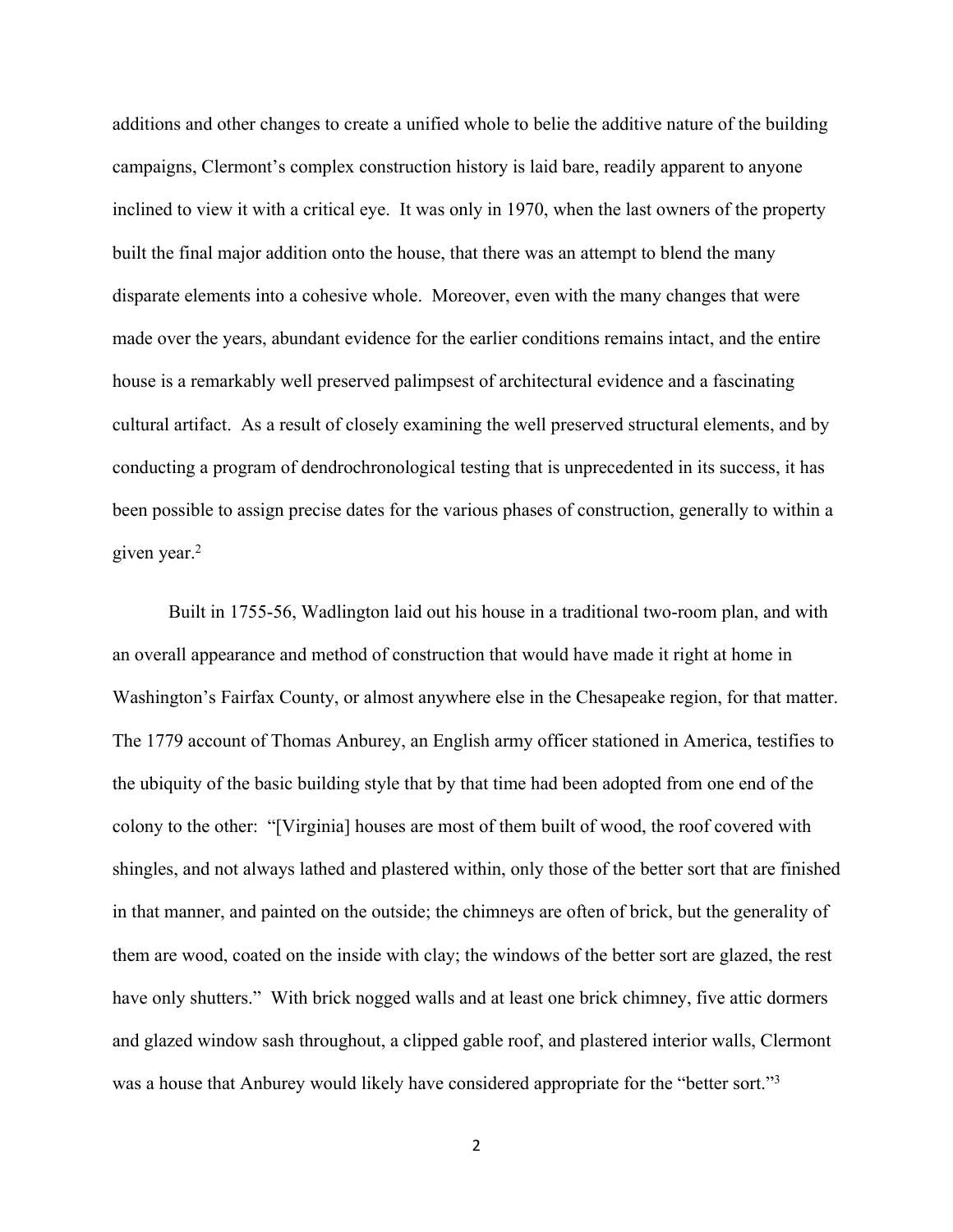additions and other changes to create a unified whole to belie the additive nature of the building campaigns, Clermont's complex construction history is laid bare, readily apparent to anyone inclined to view it with a critical eye. It was only in 1970, when the last owners of the property built the final major addition onto the house, that there was an attempt to blend the many disparate elements into a cohesive whole. Moreover, even with the many changes that were made over the years, abundant evidence for the earlier conditions remains intact, and the entire house is a remarkably well preserved palimpsest of architectural evidence and a fascinating cultural artifact. As a result of closely examining the well preserved structural elements, and by conducting a program of dendrochronological testing that is unprecedented in its success, it has been possible to assign precise dates for the various phases of construction, generally to within a given year.<sup>2</sup>

Built in 1755-56, Wadlington laid out his house in a traditional two-room plan, and with an overall appearance and method of construction that would have made it right at home in Washington's Fairfax County, or almost anywhere else in the Chesapeake region, for that matter. The 1779 account of Thomas Anburey, an English army officer stationed in America, testifies to the ubiquity of the basic building style that by that time had been adopted from one end of the colony to the other: "[Virginia] houses are most of them built of wood, the roof covered with shingles, and not always lathed and plastered within, only those of the better sort that are finished in that manner, and painted on the outside; the chimneys are often of brick, but the generality of them are wood, coated on the inside with clay; the windows of the better sort are glazed, the rest have only shutters." With brick nogged walls and at least one brick chimney, five attic dormers and glazed window sash throughout, a clipped gable roof, and plastered interior walls, Clermont was a house that Anburey would likely have considered appropriate for the "better sort."3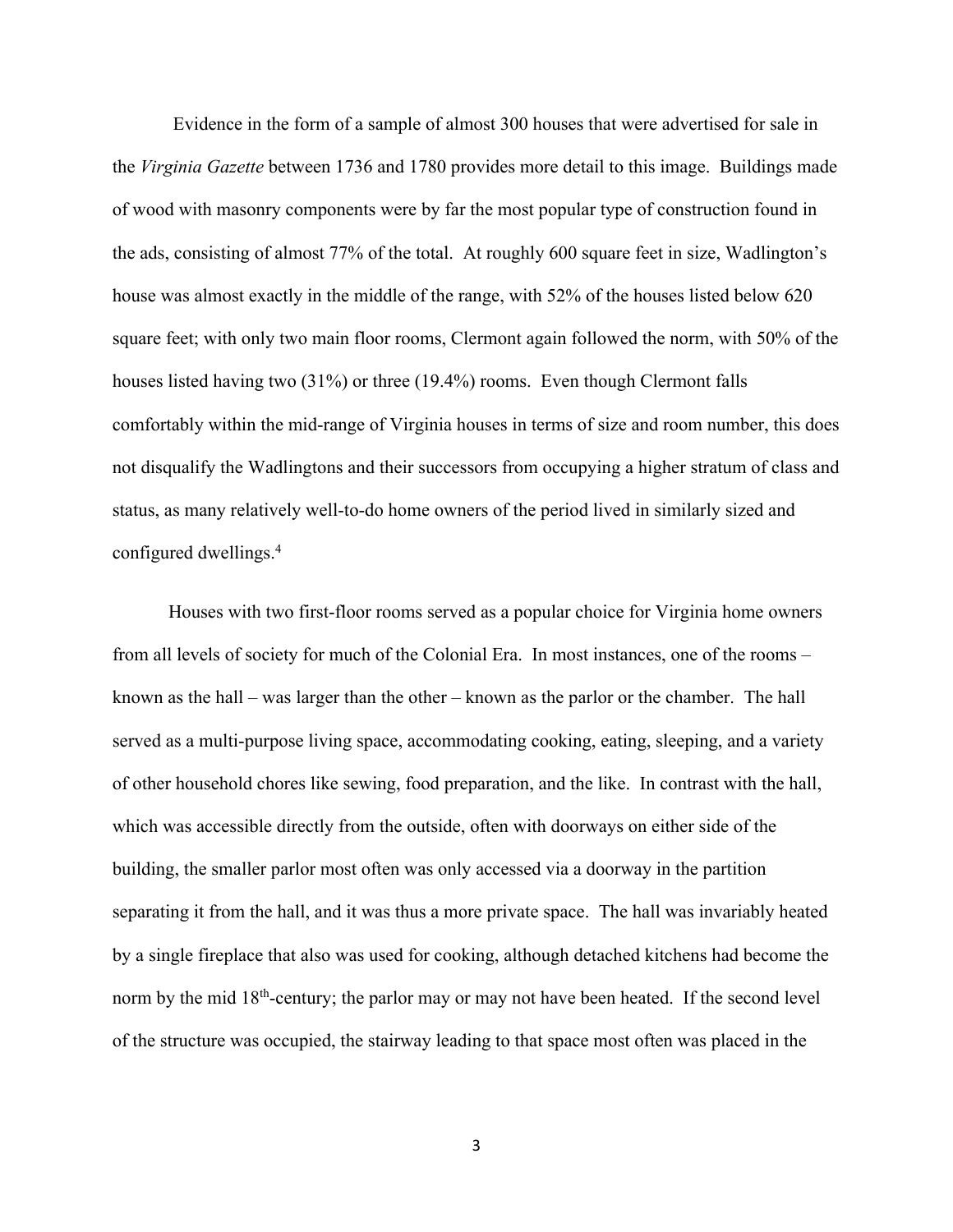Evidence in the form of a sample of almost 300 houses that were advertised for sale in the *Virginia Gazette* between 1736 and 1780 provides more detail to this image. Buildings made of wood with masonry components were by far the most popular type of construction found in the ads, consisting of almost 77% of the total. At roughly 600 square feet in size, Wadlington's house was almost exactly in the middle of the range, with 52% of the houses listed below 620 square feet; with only two main floor rooms, Clermont again followed the norm, with 50% of the houses listed having two (31%) or three (19.4%) rooms. Even though Clermont falls comfortably within the mid-range of Virginia houses in terms of size and room number, this does not disqualify the Wadlingtons and their successors from occupying a higher stratum of class and status, as many relatively well-to-do home owners of the period lived in similarly sized and configured dwellings.4

Houses with two first-floor rooms served as a popular choice for Virginia home owners from all levels of society for much of the Colonial Era. In most instances, one of the rooms – known as the hall – was larger than the other – known as the parlor or the chamber. The hall served as a multi-purpose living space, accommodating cooking, eating, sleeping, and a variety of other household chores like sewing, food preparation, and the like. In contrast with the hall, which was accessible directly from the outside, often with doorways on either side of the building, the smaller parlor most often was only accessed via a doorway in the partition separating it from the hall, and it was thus a more private space. The hall was invariably heated by a single fireplace that also was used for cooking, although detached kitchens had become the norm by the mid 18<sup>th</sup>-century; the parlor may or may not have been heated. If the second level of the structure was occupied, the stairway leading to that space most often was placed in the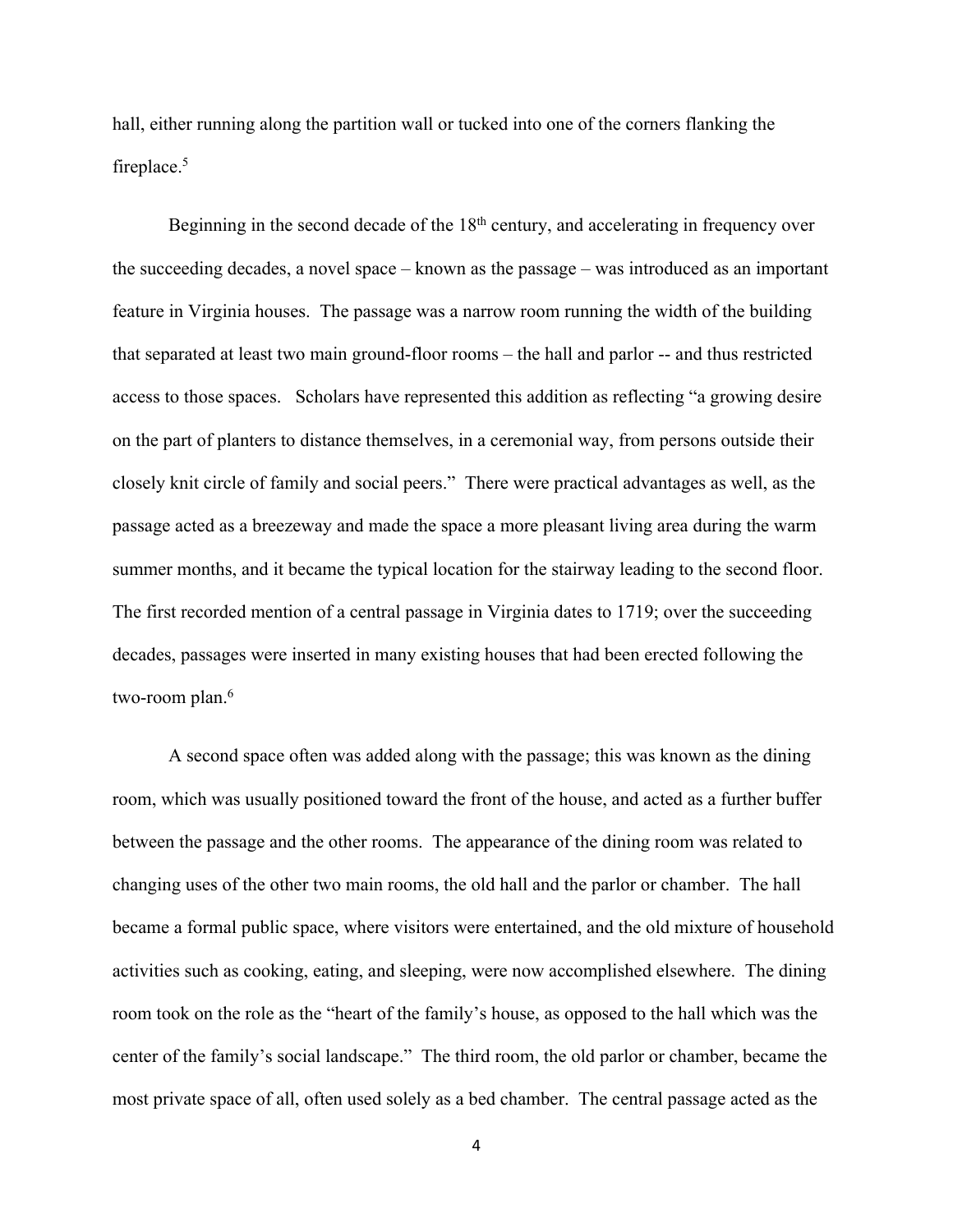hall, either running along the partition wall or tucked into one of the corners flanking the fireplace.<sup>5</sup>

Beginning in the second decade of the  $18<sup>th</sup>$  century, and accelerating in frequency over the succeeding decades, a novel space – known as the passage – was introduced as an important feature in Virginia houses. The passage was a narrow room running the width of the building that separated at least two main ground-floor rooms – the hall and parlor -- and thus restricted access to those spaces. Scholars have represented this addition as reflecting "a growing desire on the part of planters to distance themselves, in a ceremonial way, from persons outside their closely knit circle of family and social peers." There were practical advantages as well, as the passage acted as a breezeway and made the space a more pleasant living area during the warm summer months, and it became the typical location for the stairway leading to the second floor. The first recorded mention of a central passage in Virginia dates to 1719; over the succeeding decades, passages were inserted in many existing houses that had been erected following the two-room plan.<sup>6</sup>

A second space often was added along with the passage; this was known as the dining room, which was usually positioned toward the front of the house, and acted as a further buffer between the passage and the other rooms. The appearance of the dining room was related to changing uses of the other two main rooms, the old hall and the parlor or chamber. The hall became a formal public space, where visitors were entertained, and the old mixture of household activities such as cooking, eating, and sleeping, were now accomplished elsewhere. The dining room took on the role as the "heart of the family's house, as opposed to the hall which was the center of the family's social landscape." The third room, the old parlor or chamber, became the most private space of all, often used solely as a bed chamber. The central passage acted as the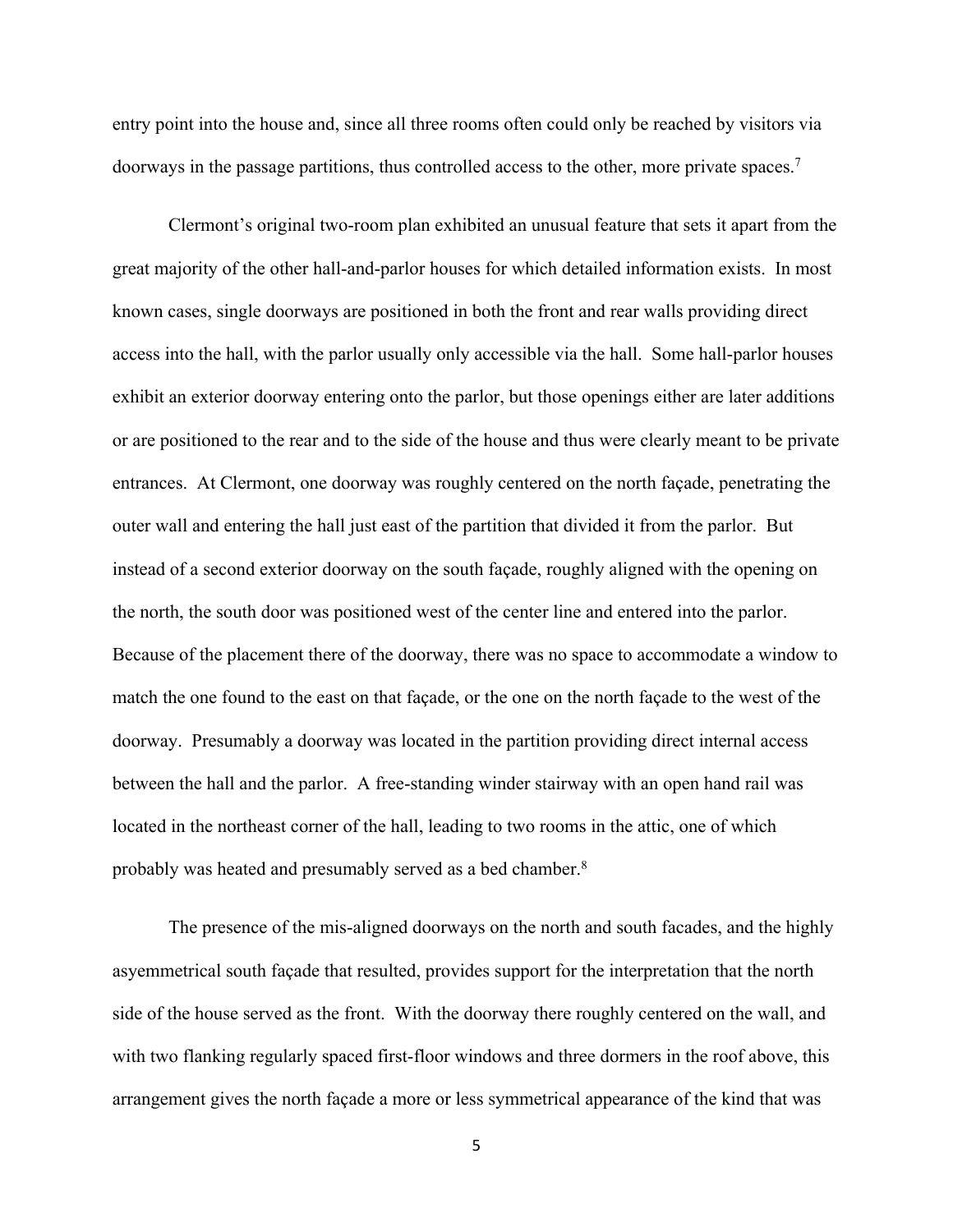entry point into the house and, since all three rooms often could only be reached by visitors via doorways in the passage partitions, thus controlled access to the other, more private spaces.<sup>7</sup>

Clermont's original two-room plan exhibited an unusual feature that sets it apart from the great majority of the other hall-and-parlor houses for which detailed information exists. In most known cases, single doorways are positioned in both the front and rear walls providing direct access into the hall, with the parlor usually only accessible via the hall. Some hall-parlor houses exhibit an exterior doorway entering onto the parlor, but those openings either are later additions or are positioned to the rear and to the side of the house and thus were clearly meant to be private entrances. At Clermont, one doorway was roughly centered on the north façade, penetrating the outer wall and entering the hall just east of the partition that divided it from the parlor. But instead of a second exterior doorway on the south façade, roughly aligned with the opening on the north, the south door was positioned west of the center line and entered into the parlor. Because of the placement there of the doorway, there was no space to accommodate a window to match the one found to the east on that façade, or the one on the north façade to the west of the doorway. Presumably a doorway was located in the partition providing direct internal access between the hall and the parlor. A free-standing winder stairway with an open hand rail was located in the northeast corner of the hall, leading to two rooms in the attic, one of which probably was heated and presumably served as a bed chamber.<sup>8</sup>

The presence of the mis-aligned doorways on the north and south facades, and the highly asyemmetrical south façade that resulted, provides support for the interpretation that the north side of the house served as the front. With the doorway there roughly centered on the wall, and with two flanking regularly spaced first-floor windows and three dormers in the roof above, this arrangement gives the north façade a more or less symmetrical appearance of the kind that was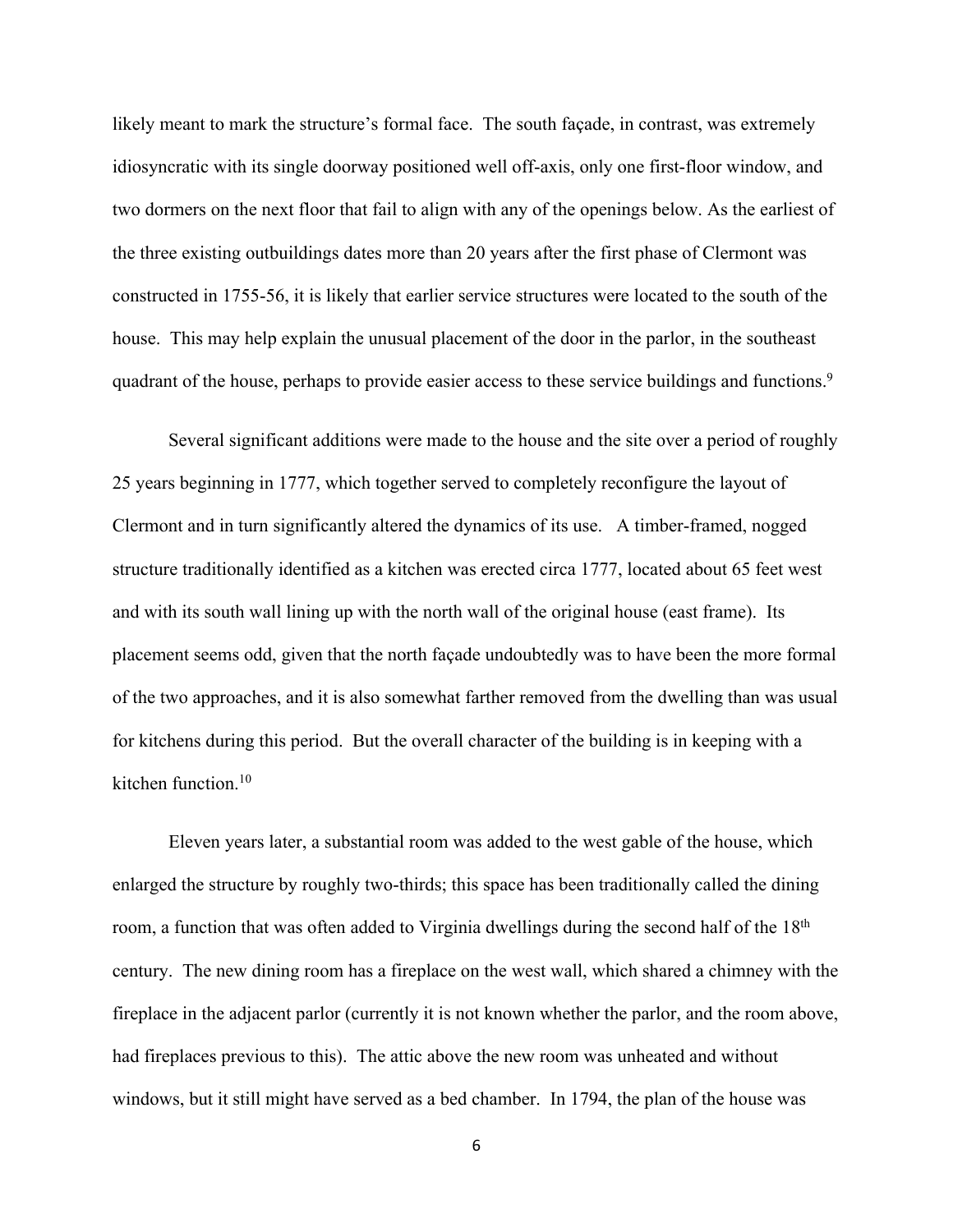likely meant to mark the structure's formal face. The south façade, in contrast, was extremely idiosyncratic with its single doorway positioned well off-axis, only one first-floor window, and two dormers on the next floor that fail to align with any of the openings below. As the earliest of the three existing outbuildings dates more than 20 years after the first phase of Clermont was constructed in 1755-56, it is likely that earlier service structures were located to the south of the house. This may help explain the unusual placement of the door in the parlor, in the southeast quadrant of the house, perhaps to provide easier access to these service buildings and functions.<sup>9</sup>

Several significant additions were made to the house and the site over a period of roughly 25 years beginning in 1777, which together served to completely reconfigure the layout of Clermont and in turn significantly altered the dynamics of its use. A timber-framed, nogged structure traditionally identified as a kitchen was erected circa 1777, located about 65 feet west and with its south wall lining up with the north wall of the original house (east frame). Its placement seems odd, given that the north façade undoubtedly was to have been the more formal of the two approaches, and it is also somewhat farther removed from the dwelling than was usual for kitchens during this period. But the overall character of the building is in keeping with a kitchen function.10

Eleven years later, a substantial room was added to the west gable of the house, which enlarged the structure by roughly two-thirds; this space has been traditionally called the dining room, a function that was often added to Virginia dwellings during the second half of the 18<sup>th</sup> century. The new dining room has a fireplace on the west wall, which shared a chimney with the fireplace in the adjacent parlor (currently it is not known whether the parlor, and the room above, had fireplaces previous to this). The attic above the new room was unheated and without windows, but it still might have served as a bed chamber. In 1794, the plan of the house was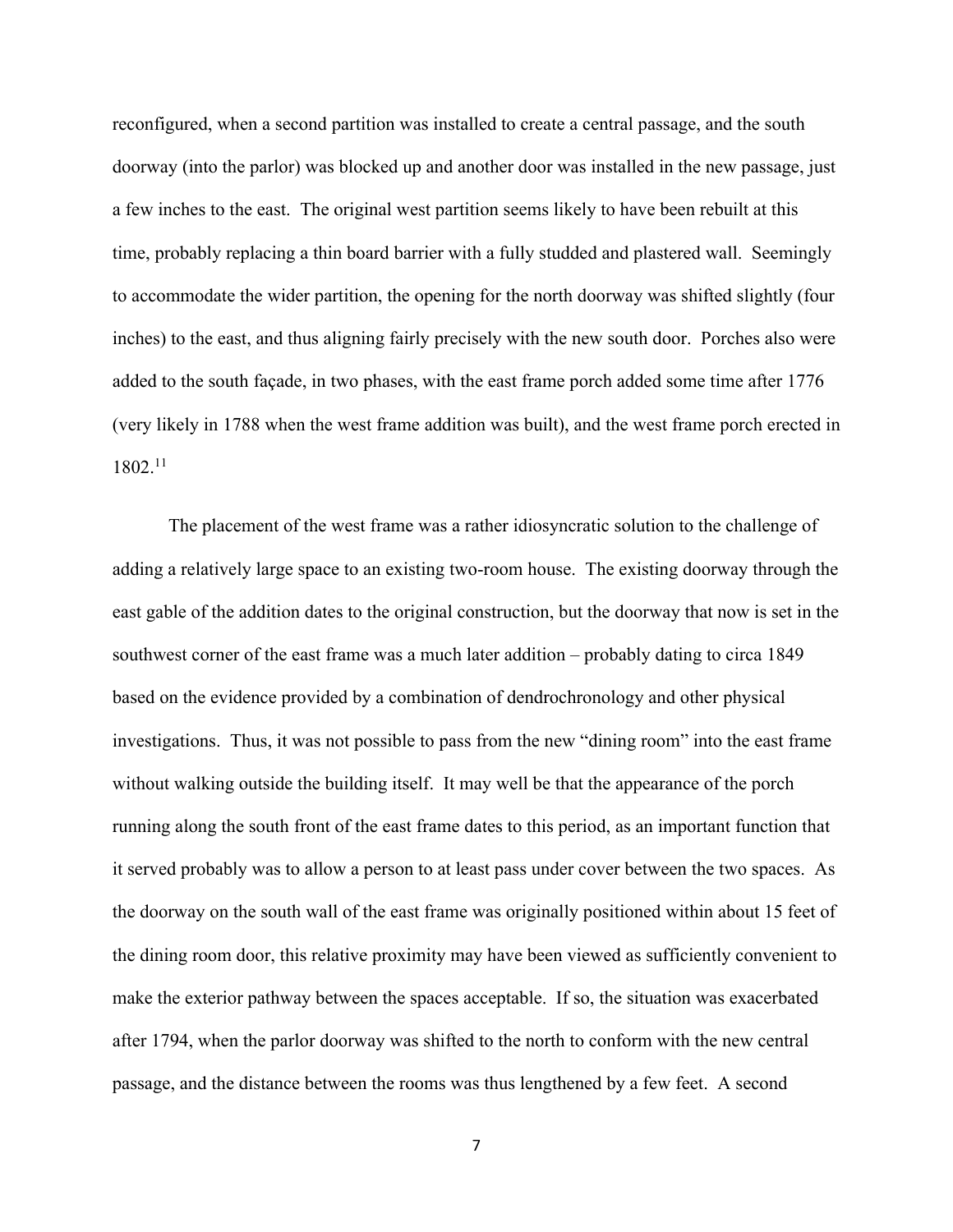reconfigured, when a second partition was installed to create a central passage, and the south doorway (into the parlor) was blocked up and another door was installed in the new passage, just a few inches to the east. The original west partition seems likely to have been rebuilt at this time, probably replacing a thin board barrier with a fully studded and plastered wall. Seemingly to accommodate the wider partition, the opening for the north doorway was shifted slightly (four inches) to the east, and thus aligning fairly precisely with the new south door. Porches also were added to the south façade, in two phases, with the east frame porch added some time after 1776 (very likely in 1788 when the west frame addition was built), and the west frame porch erected in 1802.11

The placement of the west frame was a rather idiosyncratic solution to the challenge of adding a relatively large space to an existing two-room house. The existing doorway through the east gable of the addition dates to the original construction, but the doorway that now is set in the southwest corner of the east frame was a much later addition – probably dating to circa 1849 based on the evidence provided by a combination of dendrochronology and other physical investigations. Thus, it was not possible to pass from the new "dining room" into the east frame without walking outside the building itself. It may well be that the appearance of the porch running along the south front of the east frame dates to this period, as an important function that it served probably was to allow a person to at least pass under cover between the two spaces. As the doorway on the south wall of the east frame was originally positioned within about 15 feet of the dining room door, this relative proximity may have been viewed as sufficiently convenient to make the exterior pathway between the spaces acceptable. If so, the situation was exacerbated after 1794, when the parlor doorway was shifted to the north to conform with the new central passage, and the distance between the rooms was thus lengthened by a few feet. A second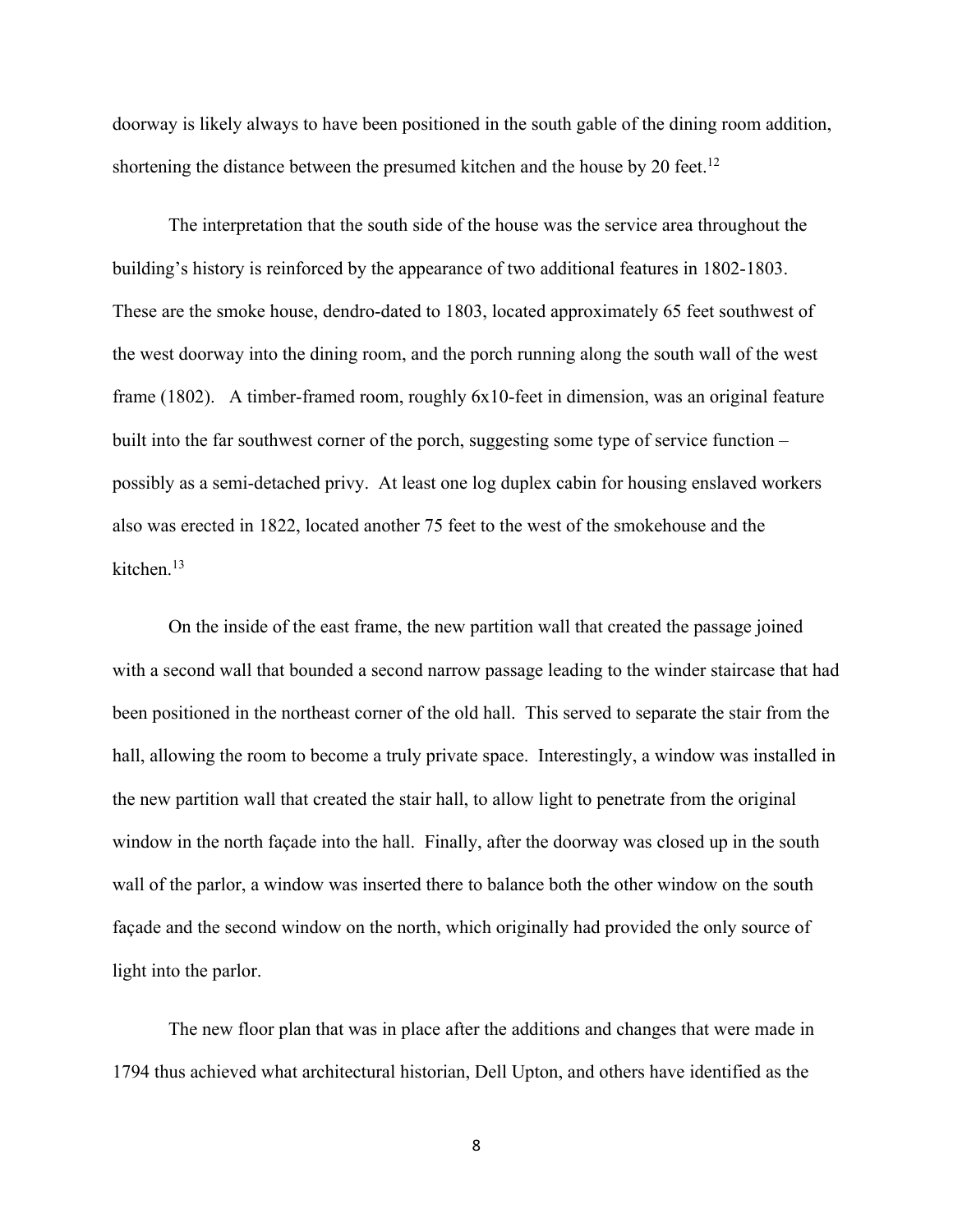doorway is likely always to have been positioned in the south gable of the dining room addition, shortening the distance between the presumed kitchen and the house by 20 feet.<sup>12</sup>

The interpretation that the south side of the house was the service area throughout the building's history is reinforced by the appearance of two additional features in 1802-1803. These are the smoke house, dendro-dated to 1803, located approximately 65 feet southwest of the west doorway into the dining room, and the porch running along the south wall of the west frame (1802). A timber-framed room, roughly 6x10-feet in dimension, was an original feature built into the far southwest corner of the porch, suggesting some type of service function – possibly as a semi-detached privy. At least one log duplex cabin for housing enslaved workers also was erected in 1822, located another 75 feet to the west of the smokehouse and the kitchen.13

On the inside of the east frame, the new partition wall that created the passage joined with a second wall that bounded a second narrow passage leading to the winder staircase that had been positioned in the northeast corner of the old hall. This served to separate the stair from the hall, allowing the room to become a truly private space. Interestingly, a window was installed in the new partition wall that created the stair hall, to allow light to penetrate from the original window in the north façade into the hall. Finally, after the doorway was closed up in the south wall of the parlor, a window was inserted there to balance both the other window on the south façade and the second window on the north, which originally had provided the only source of light into the parlor.

The new floor plan that was in place after the additions and changes that were made in 1794 thus achieved what architectural historian, Dell Upton, and others have identified as the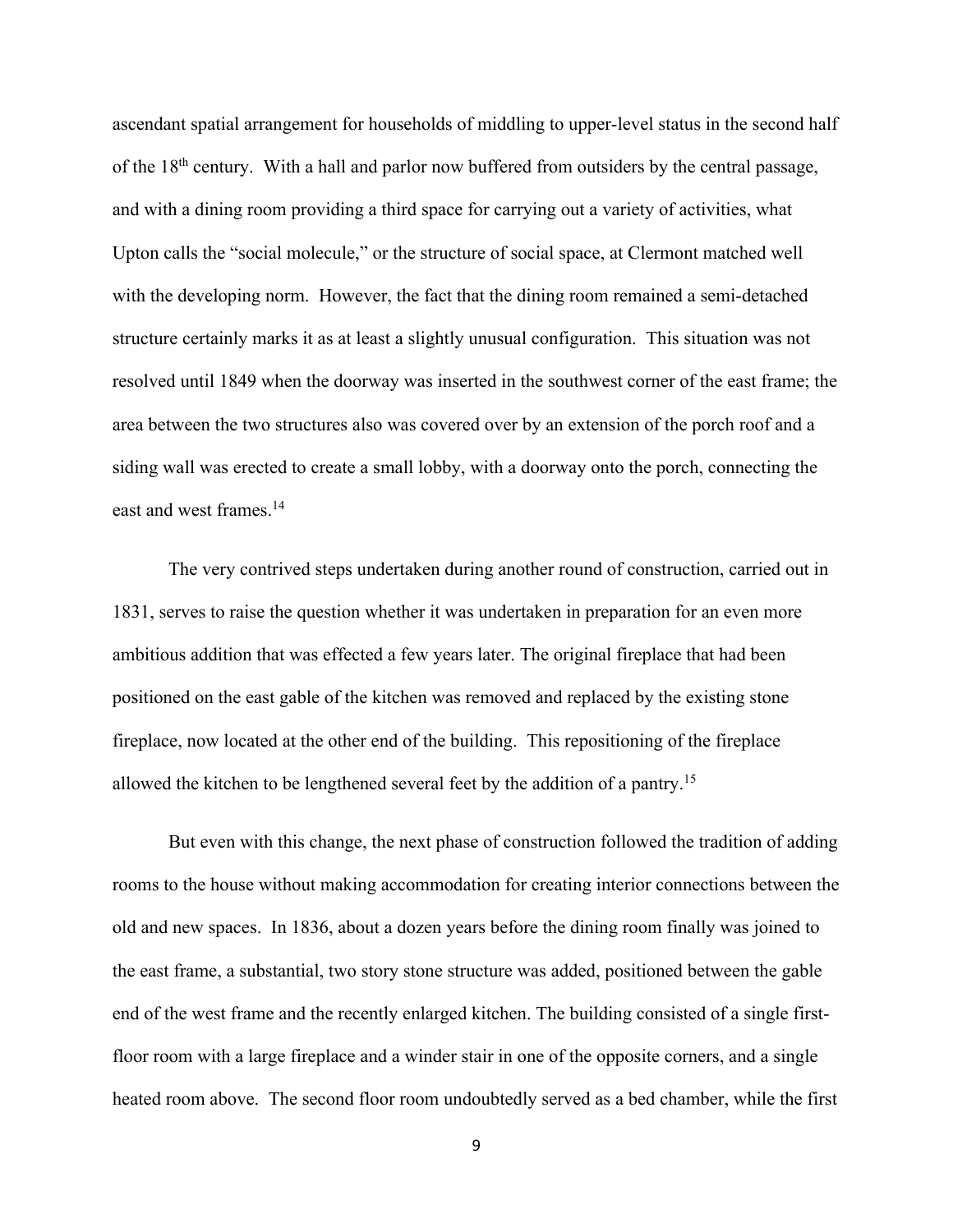ascendant spatial arrangement for households of middling to upper-level status in the second half of the  $18<sup>th</sup>$  century. With a hall and parlor now buffered from outsiders by the central passage, and with a dining room providing a third space for carrying out a variety of activities, what Upton calls the "social molecule," or the structure of social space, at Clermont matched well with the developing norm. However, the fact that the dining room remained a semi-detached structure certainly marks it as at least a slightly unusual configuration. This situation was not resolved until 1849 when the doorway was inserted in the southwest corner of the east frame; the area between the two structures also was covered over by an extension of the porch roof and a siding wall was erected to create a small lobby, with a doorway onto the porch, connecting the east and west frames.<sup>14</sup>

The very contrived steps undertaken during another round of construction, carried out in 1831, serves to raise the question whether it was undertaken in preparation for an even more ambitious addition that was effected a few years later. The original fireplace that had been positioned on the east gable of the kitchen was removed and replaced by the existing stone fireplace, now located at the other end of the building. This repositioning of the fireplace allowed the kitchen to be lengthened several feet by the addition of a pantry.15

But even with this change, the next phase of construction followed the tradition of adding rooms to the house without making accommodation for creating interior connections between the old and new spaces. In 1836, about a dozen years before the dining room finally was joined to the east frame, a substantial, two story stone structure was added, positioned between the gable end of the west frame and the recently enlarged kitchen. The building consisted of a single firstfloor room with a large fireplace and a winder stair in one of the opposite corners, and a single heated room above. The second floor room undoubtedly served as a bed chamber, while the first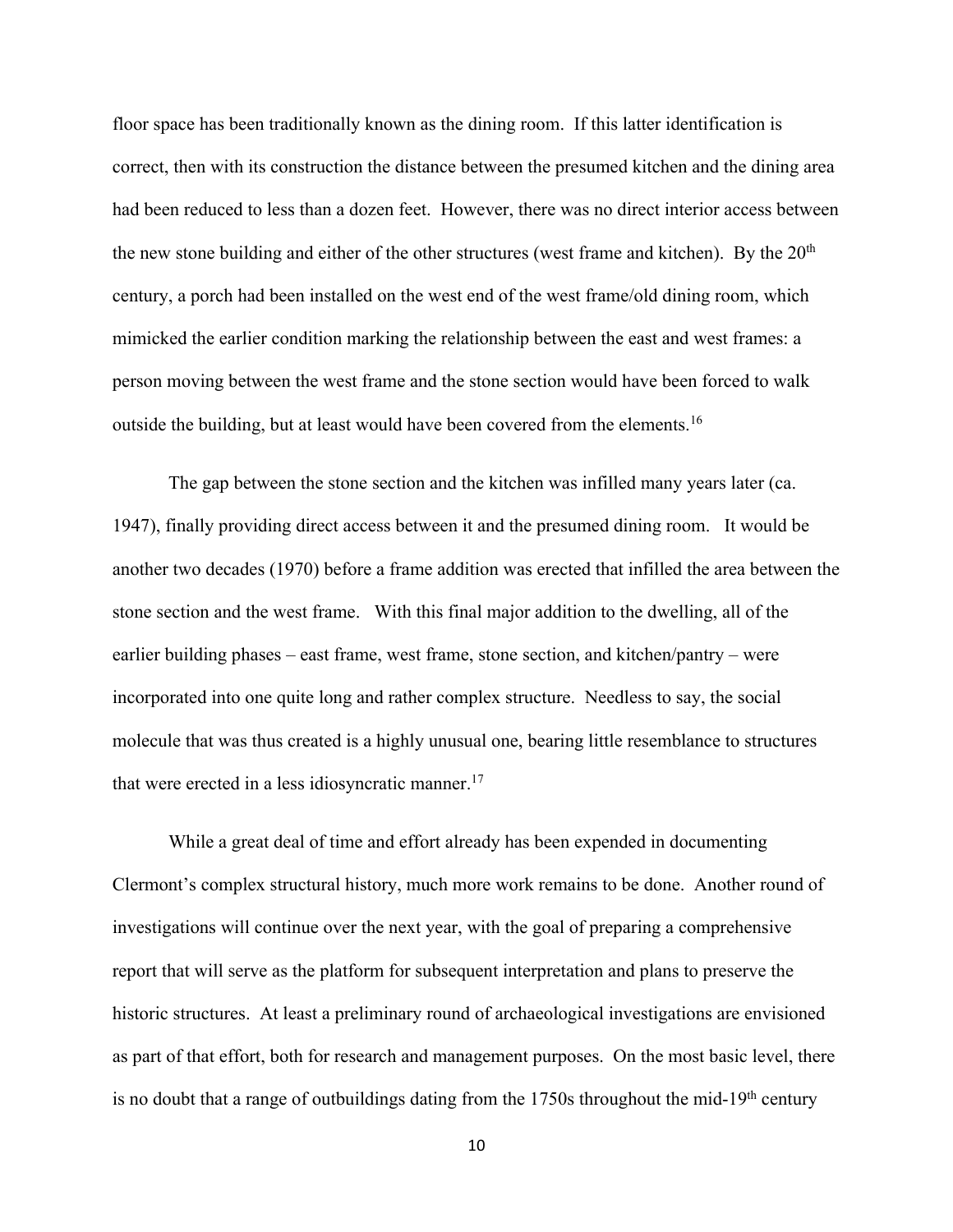floor space has been traditionally known as the dining room. If this latter identification is correct, then with its construction the distance between the presumed kitchen and the dining area had been reduced to less than a dozen feet. However, there was no direct interior access between the new stone building and either of the other structures (west frame and kitchen). By the  $20<sup>th</sup>$ century, a porch had been installed on the west end of the west frame/old dining room, which mimicked the earlier condition marking the relationship between the east and west frames: a person moving between the west frame and the stone section would have been forced to walk outside the building, but at least would have been covered from the elements.<sup>16</sup>

The gap between the stone section and the kitchen was infilled many years later (ca. 1947), finally providing direct access between it and the presumed dining room. It would be another two decades (1970) before a frame addition was erected that infilled the area between the stone section and the west frame. With this final major addition to the dwelling, all of the earlier building phases – east frame, west frame, stone section, and kitchen/pantry – were incorporated into one quite long and rather complex structure. Needless to say, the social molecule that was thus created is a highly unusual one, bearing little resemblance to structures that were erected in a less idiosyncratic manner.<sup>17</sup>

While a great deal of time and effort already has been expended in documenting Clermont's complex structural history, much more work remains to be done. Another round of investigations will continue over the next year, with the goal of preparing a comprehensive report that will serve as the platform for subsequent interpretation and plans to preserve the historic structures. At least a preliminary round of archaeological investigations are envisioned as part of that effort, both for research and management purposes. On the most basic level, there is no doubt that a range of outbuildings dating from the  $1750s$  throughout the mid-19<sup>th</sup> century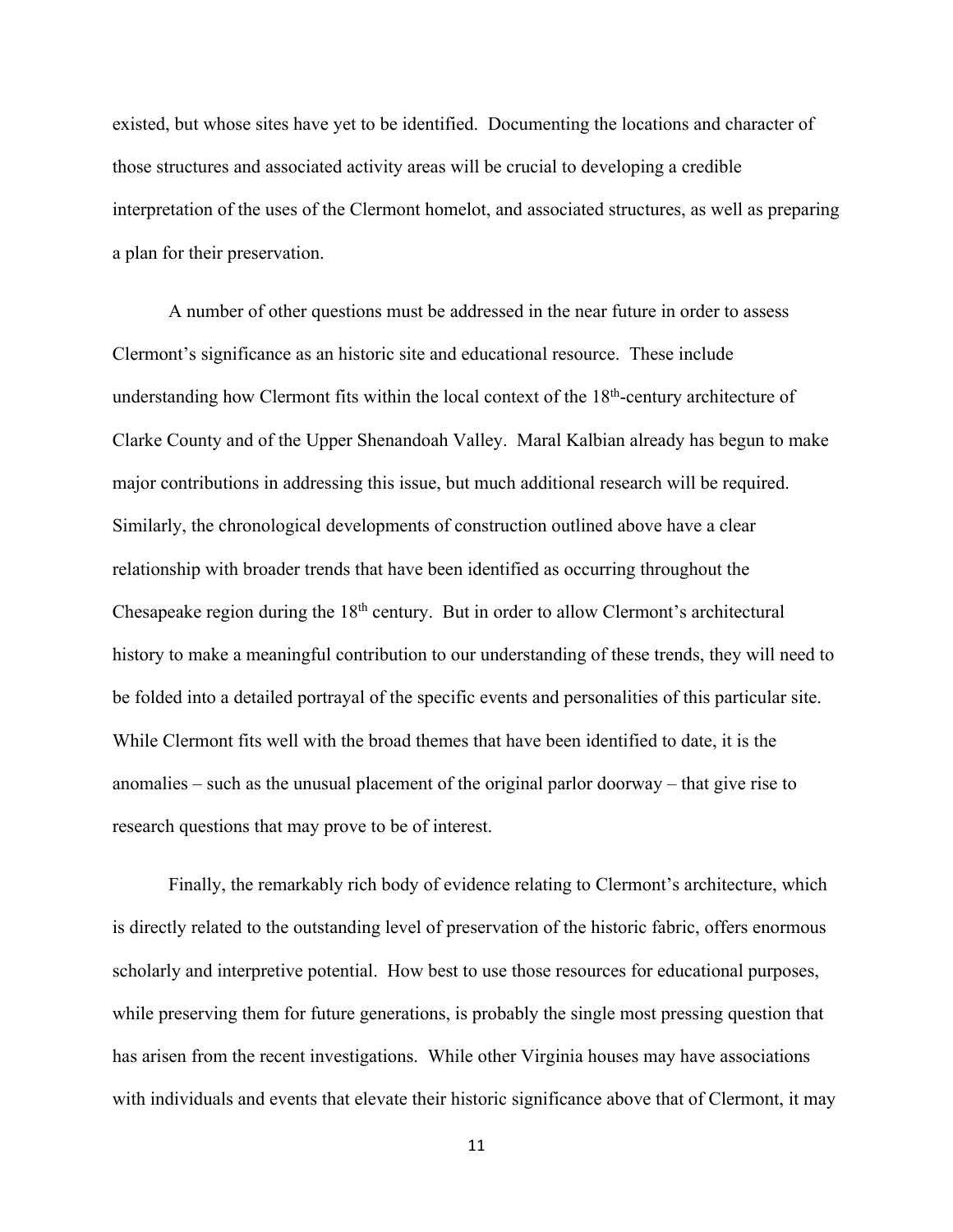existed, but whose sites have yet to be identified. Documenting the locations and character of those structures and associated activity areas will be crucial to developing a credible interpretation of the uses of the Clermont homelot, and associated structures, as well as preparing a plan for their preservation.

A number of other questions must be addressed in the near future in order to assess Clermont's significance as an historic site and educational resource. These include understanding how Clermont fits within the local context of the 18<sup>th</sup>-century architecture of Clarke County and of the Upper Shenandoah Valley. Maral Kalbian already has begun to make major contributions in addressing this issue, but much additional research will be required. Similarly, the chronological developments of construction outlined above have a clear relationship with broader trends that have been identified as occurring throughout the Chesapeake region during the 18th century. But in order to allow Clermont's architectural history to make a meaningful contribution to our understanding of these trends, they will need to be folded into a detailed portrayal of the specific events and personalities of this particular site. While Clermont fits well with the broad themes that have been identified to date, it is the anomalies – such as the unusual placement of the original parlor doorway – that give rise to research questions that may prove to be of interest.

Finally, the remarkably rich body of evidence relating to Clermont's architecture, which is directly related to the outstanding level of preservation of the historic fabric, offers enormous scholarly and interpretive potential. How best to use those resources for educational purposes, while preserving them for future generations, is probably the single most pressing question that has arisen from the recent investigations. While other Virginia houses may have associations with individuals and events that elevate their historic significance above that of Clermont, it may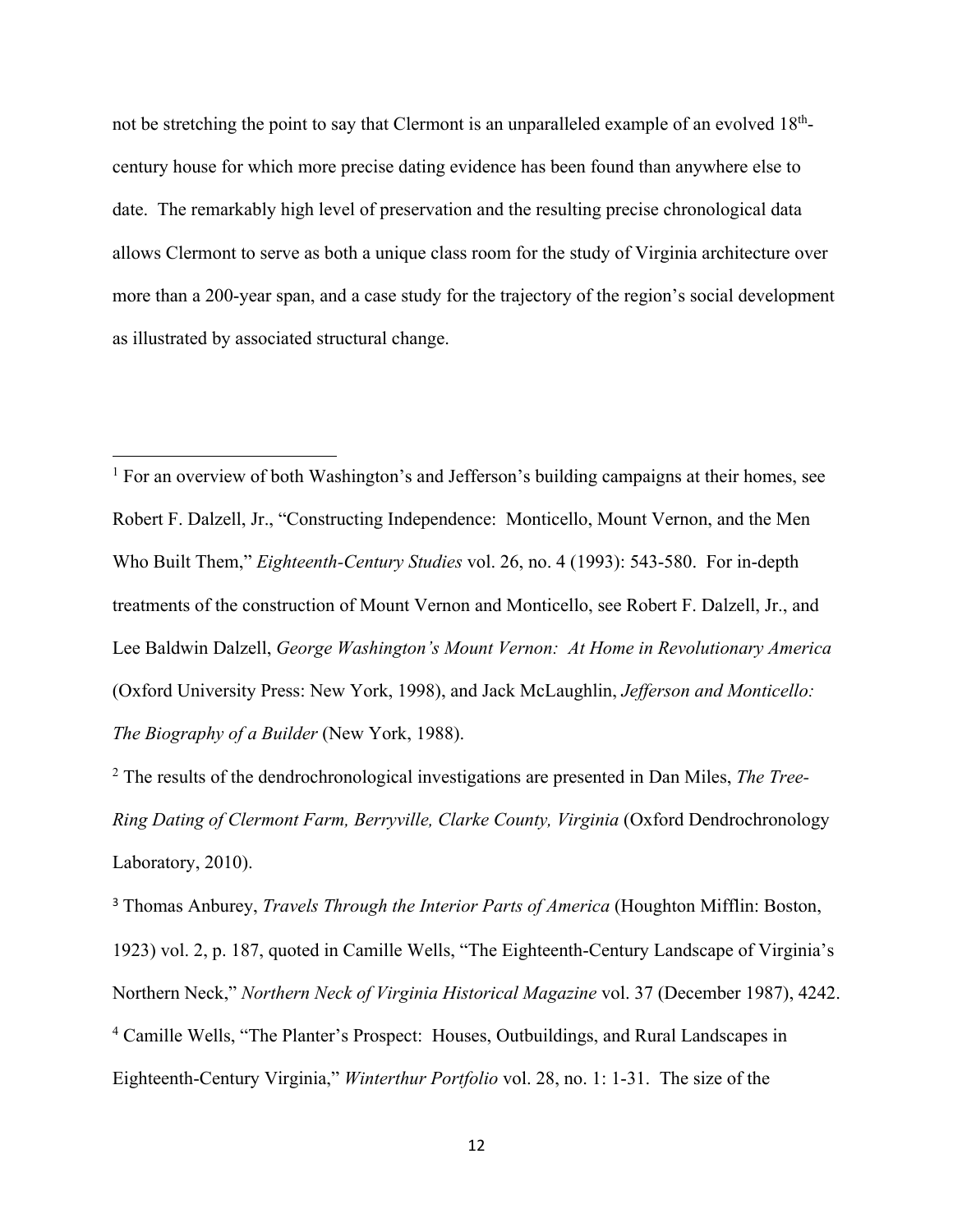not be stretching the point to say that Clermont is an unparalleled example of an evolved 18<sup>th</sup>century house for which more precise dating evidence has been found than anywhere else to date. The remarkably high level of preservation and the resulting precise chronological data allows Clermont to serve as both a unique class room for the study of Virginia architecture over more than a 200-year span, and a case study for the trajectory of the region's social development as illustrated by associated structural change.

 $<sup>1</sup>$  For an overview of both Washington's and Jefferson's building campaigns at their homes, see</sup> Robert F. Dalzell, Jr., "Constructing Independence: Monticello, Mount Vernon, and the Men Who Built Them," *Eighteenth-Century Studies* vol. 26, no. 4 (1993): 543-580. For in-depth treatments of the construction of Mount Vernon and Monticello, see Robert F. Dalzell, Jr., and Lee Baldwin Dalzell, *George Washington's Mount Vernon: At Home in Revolutionary America*  (Oxford University Press: New York, 1998), and Jack McLaughlin, *Jefferson and Monticello: The Biography of a Builder* (New York, 1988).

<sup>2</sup> The results of the dendrochronological investigations are presented in Dan Miles, *The Tree-Ring Dating of Clermont Farm, Berryville, Clarke County, Virginia* (Oxford Dendrochronology Laboratory, 2010).

<sup>3</sup> Thomas Anburey, *Travels Through the Interior Parts of America* (Houghton Mifflin: Boston, 1923) vol. 2, p. 187, quoted in Camille Wells, "The Eighteenth-Century Landscape of Virginia's Northern Neck," *Northern Neck of Virginia Historical Magazine* vol. 37 (December 1987), 4242. <sup>4</sup> Camille Wells, "The Planter's Prospect: Houses, Outbuildings, and Rural Landscapes in Eighteenth-Century Virginia," *Winterthur Portfolio* vol. 28, no. 1: 1-31. The size of the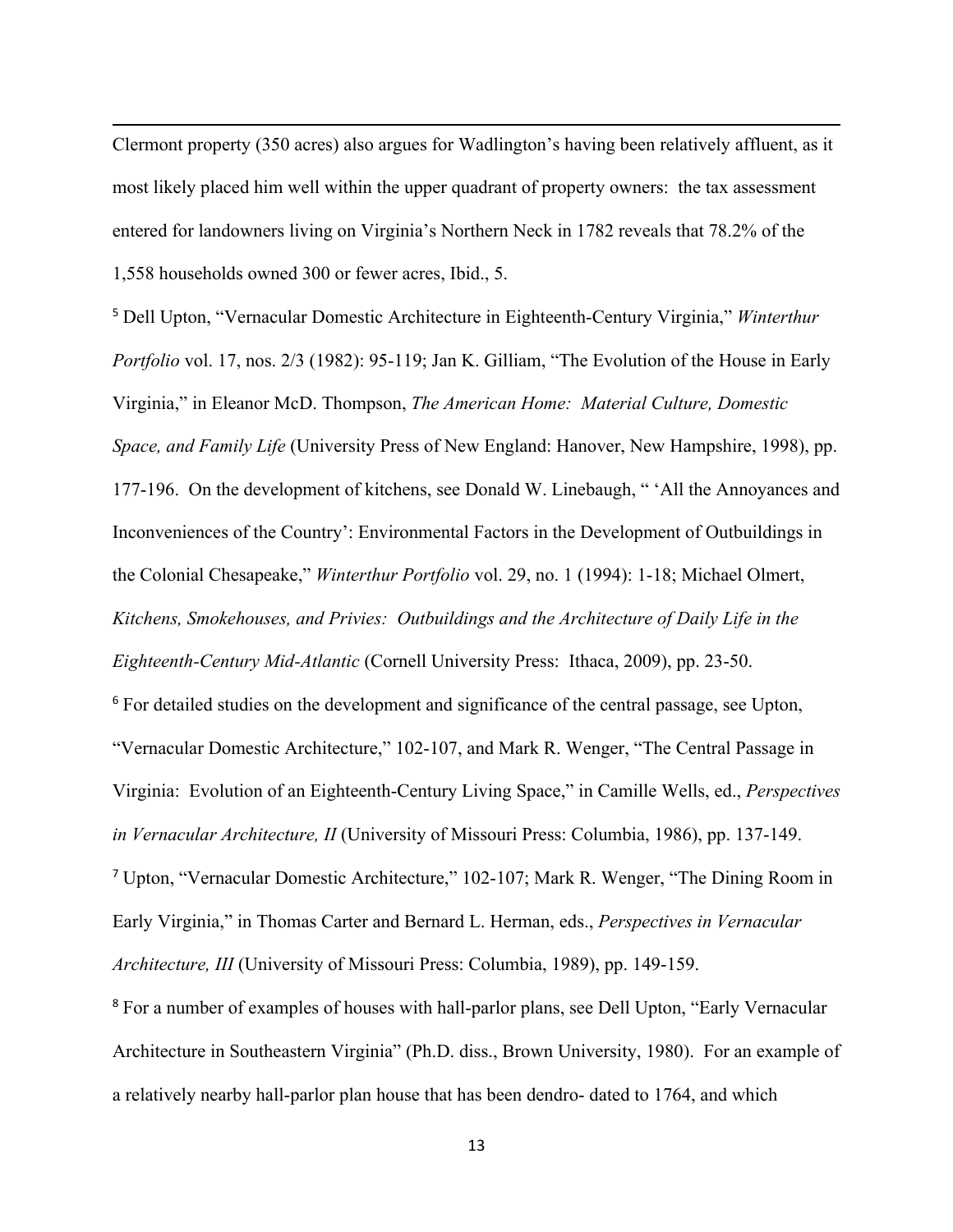Clermont property (350 acres) also argues for Wadlington's having been relatively affluent, as it most likely placed him well within the upper quadrant of property owners: the tax assessment entered for landowners living on Virginia's Northern Neck in 1782 reveals that 78.2% of the 1,558 households owned 300 or fewer acres, Ibid., 5.

<sup>5</sup> Dell Upton, "Vernacular Domestic Architecture in Eighteenth-Century Virginia," *Winterthur Portfolio* vol. 17, nos. 2/3 (1982): 95-119; Jan K. Gilliam, "The Evolution of the House in Early Virginia," in Eleanor McD. Thompson, *The American Home: Material Culture, Domestic Space, and Family Life* (University Press of New England: Hanover, New Hampshire, 1998), pp. 177-196. On the development of kitchens, see Donald W. Linebaugh, " 'All the Annoyances and Inconveniences of the Country': Environmental Factors in the Development of Outbuildings in the Colonial Chesapeake," *Winterthur Portfolio* vol. 29, no. 1 (1994): 1-18; Michael Olmert, *Kitchens, Smokehouses, and Privies: Outbuildings and the Architecture of Daily Life in the Eighteenth-Century Mid-Atlantic* (Cornell University Press: Ithaca, 2009), pp. 23-50. <sup>6</sup> For detailed studies on the development and significance of the central passage, see Upton, "Vernacular Domestic Architecture," 102-107, and Mark R. Wenger, "The Central Passage in Virginia: Evolution of an Eighteenth-Century Living Space," in Camille Wells, ed., *Perspectives in Vernacular Architecture, II* (University of Missouri Press: Columbia, 1986), pp. 137-149. <sup>7</sup> Upton, "Vernacular Domestic Architecture," 102-107; Mark R. Wenger, "The Dining Room in Early Virginia," in Thomas Carter and Bernard L. Herman, eds., *Perspectives in Vernacular Architecture, III* (University of Missouri Press: Columbia, 1989), pp. 149-159. <sup>8</sup> For a number of examples of houses with hall-parlor plans, see Dell Upton, "Early Vernacular" Architecture in Southeastern Virginia" (Ph.D. diss., Brown University, 1980). For an example of

a relatively nearby hall-parlor plan house that has been dendro- dated to 1764, and which